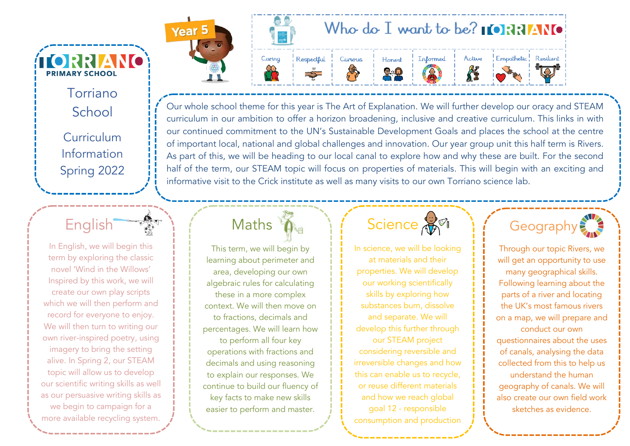Torriano School Curriculum Information Spring 2022

**ÍIORRIANO** 

**PRIMARY SCHOOL** 

English

In English, we will begin this term by exploring the classic novel 'Wind in the Willows' Inspired by this work, we will create our own play scripts which we will then perform and record for everyone to enjoy. We will then turn to writing our own river-inspired poetry, using imagery to bring the setting alive. In Spring 2, our STEAM topic will allow us to develop our scientific writing skills as well as our persuasive writing skills as we begin to campaign for a more available recycling system.



Our whole school theme for this year is The Art of Explanation. We will further develop our oracy and STEAM curriculum in our ambition to offer a horizon broadening, inclusive and creative curriculum. This links in with our continued commitment to the UN's Sustainable Development Goals and places the school at the centre of important local, national and global challenges and innovation. Our year group unit this half term is Rivers. As part of this, we will be heading to our local canal to explore how and why these are built. For the second half of the term, our STEAM topic will focus on properties of materials. This will begin with an exciting and informative visit to the Crick institute as well as many visits to our own Torriano science lab.

#### **Maths**

This term, we will begin by learning about perimeter and area, developing our own algebraic rules for calculating these in a more complex context. We will then move on to fractions, decimals and percentages. We will learn how to perform all four key operations with fractions and decimals and using reasoning to explain our responses. We continue to build our fluency of key facts to make new skills easier to perform and master.

## Science AM<sup>T</sup>

In science, we will be looking at materials and their properties. We will develop our working scientifically skills by exploring how substances burn, dissolve and separate. We will develop this further through our STEAM project considering reversible and irreversible changes and how this can enable us to recycle, or reuse different materials and how we reach global goal 12 - responsible consumption and production



Through our topic Rivers, we will get an opportunity to use many geographical skills. Following learning about the parts of a river and locating the UK's most famous rivers on a map, we will prepare and conduct our own questionnaires about the uses of canals, analysing the data collected from this to help us understand the human geography of canals. We will also create our own field work sketches as evidence.